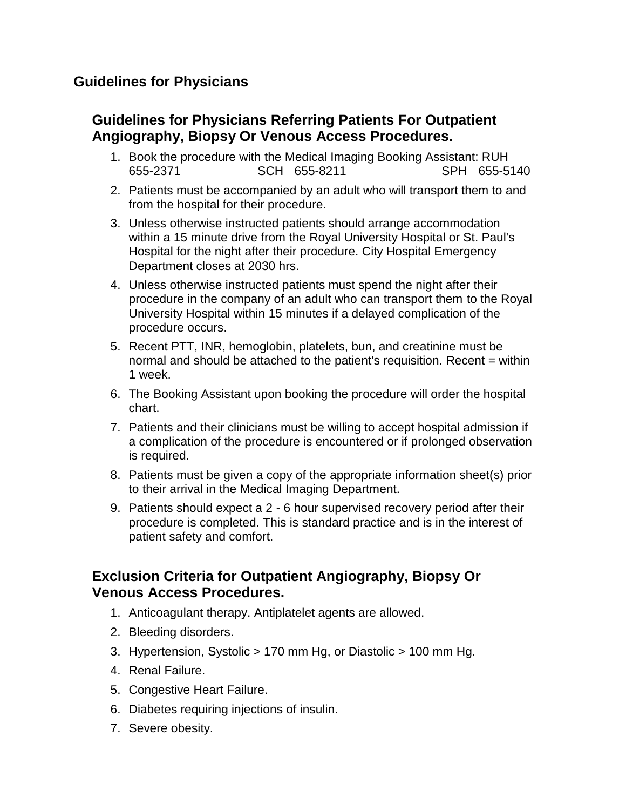## **Guidelines for Physicians**

## **Guidelines for Physicians Referring Patients For Outpatient Angiography, Biopsy Or Venous Access Procedures.**

- 1. Book the procedure with the Medical Imaging Booking Assistant: RUH 655-2371 SCH 655-8211 SPH 655-5140
- 2. Patients must be accompanied by an adult who will transport them to and from the hospital for their procedure.
- 3. Unless otherwise instructed patients should arrange accommodation within a 15 minute drive from the Royal University Hospital or St. Paul's Hospital for the night after their procedure. City Hospital Emergency Department closes at 2030 hrs.
- 4. Unless otherwise instructed patients must spend the night after their procedure in the company of an adult who can transport them to the Royal University Hospital within 15 minutes if a delayed complication of the procedure occurs.
- 5. Recent PTT, INR, hemoglobin, platelets, bun, and creatinine must be normal and should be attached to the patient's requisition. Recent = within 1 week.
- 6. The Booking Assistant upon booking the procedure will order the hospital chart.
- 7. Patients and their clinicians must be willing to accept hospital admission if a complication of the procedure is encountered or if prolonged observation is required.
- 8. Patients must be given a copy of the appropriate information sheet(s) prior to their arrival in the Medical Imaging Department.
- 9. Patients should expect a 2 6 hour supervised recovery period after their procedure is completed. This is standard practice and is in the interest of patient safety and comfort.

## **Exclusion Criteria for Outpatient Angiography, Biopsy Or Venous Access Procedures.**

- 1. Anticoagulant therapy. Antiplatelet agents are allowed.
- 2. Bleeding disorders.
- 3. Hypertension, Systolic > 170 mm Hg, or Diastolic > 100 mm Hg.
- 4. Renal Failure.
- 5. Congestive Heart Failure.
- 6. Diabetes requiring injections of insulin.
- 7. Severe obesity.